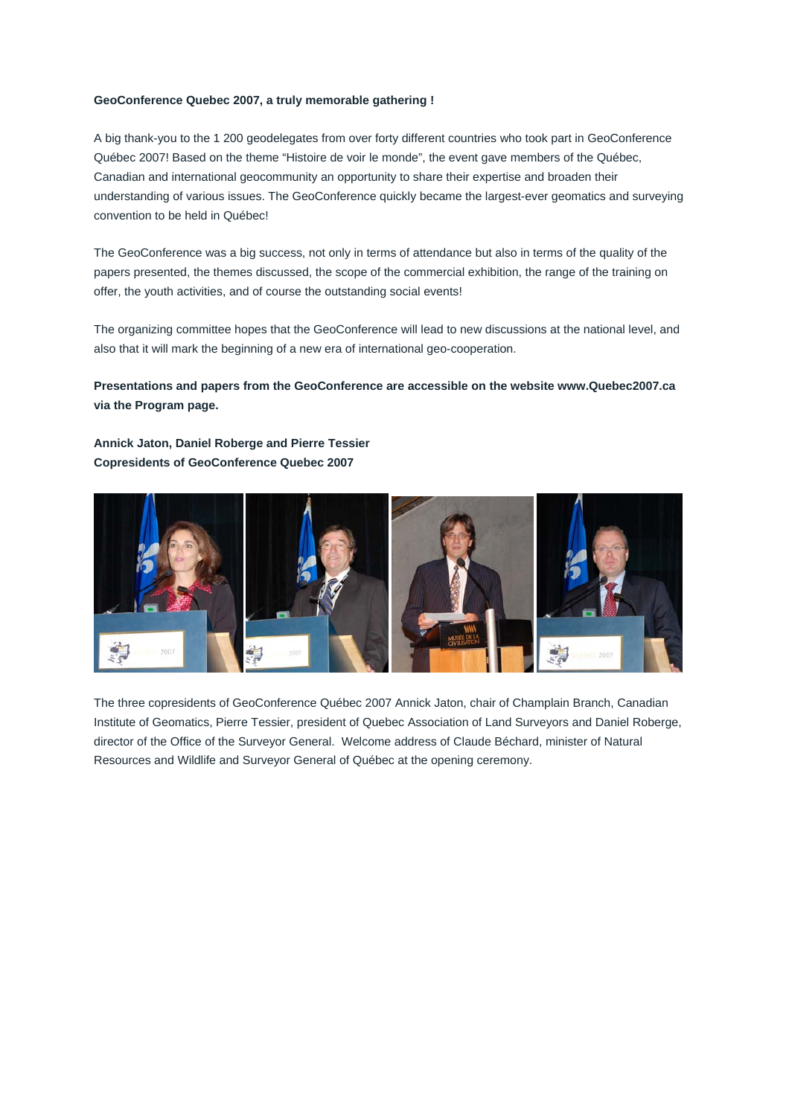## **GeoConference Quebec 2007, a truly memorable gathering !**

A big thank-you to the 1 200 geodelegates from over forty different countries who took part in GeoConference Québec 2007! Based on the theme "Histoire de voir le monde", the event gave members of the Québec, Canadian and international geocommunity an opportunity to share their expertise and broaden their understanding of various issues. The GeoConference quickly became the largest-ever geomatics and surveying convention to be held in Québec!

The GeoConference was a big success, not only in terms of attendance but also in terms of the quality of the papers presented, the themes discussed, the scope of the commercial exhibition, the range of the training on offer, the youth activities, and of course the outstanding social events!

The organizing committee hopes that the GeoConference will lead to new discussions at the national level, and also that it will mark the beginning of a new era of international geo-cooperation.

**Presentations and papers from the GeoConference are accessible on the website www.Quebec2007.ca via the Program page.** 

**Annick Jaton, Daniel Roberge and Pierre Tessier Copresidents of GeoConference Quebec 2007** 



The three copresidents of GeoConference Québec 2007 Annick Jaton, chair of Champlain Branch, Canadian Institute of Geomatics, Pierre Tessier, president of Quebec Association of Land Surveyors and Daniel Roberge, director of the Office of the Surveyor General. Welcome address of Claude Béchard, minister of Natural Resources and Wildlife and Surveyor General of Québec at the opening ceremony.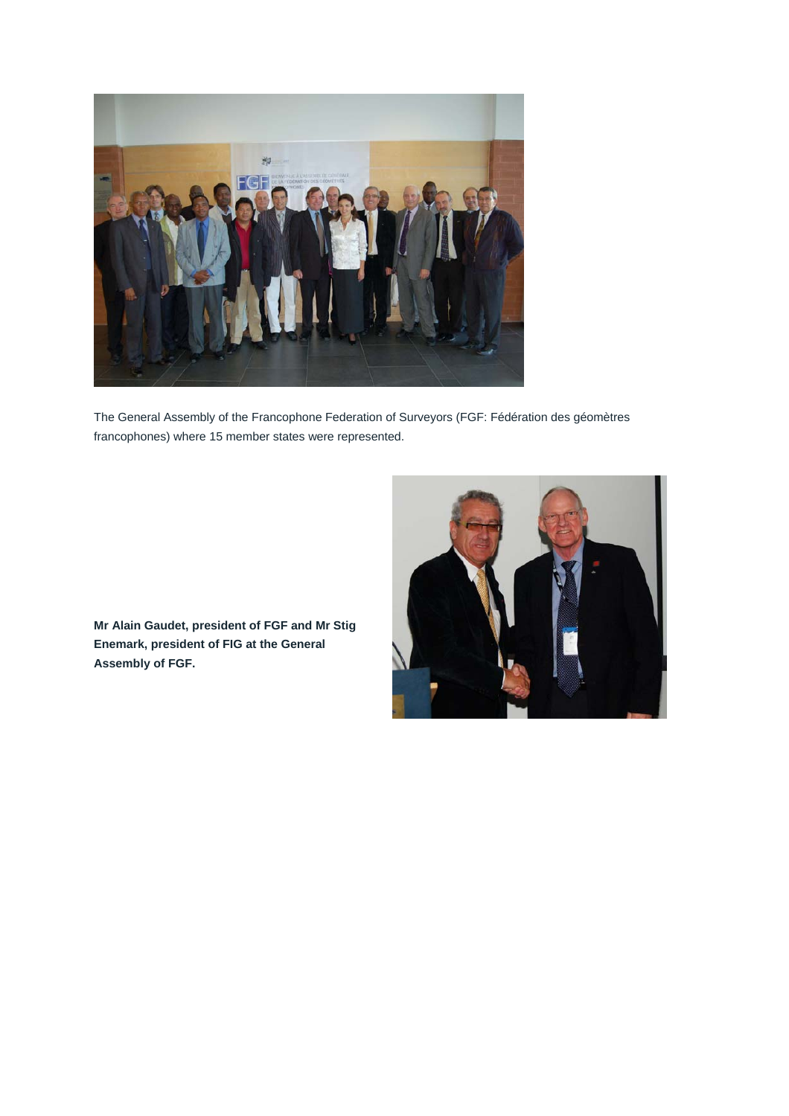

The General Assembly of the Francophone Federation of Surveyors (FGF: Fédération des géomètres francophones) where 15 member states were represented.



**Mr Alain Gaudet, president of FGF and Mr Stig Enemark, president of FIG at the General Assembly of FGF.**